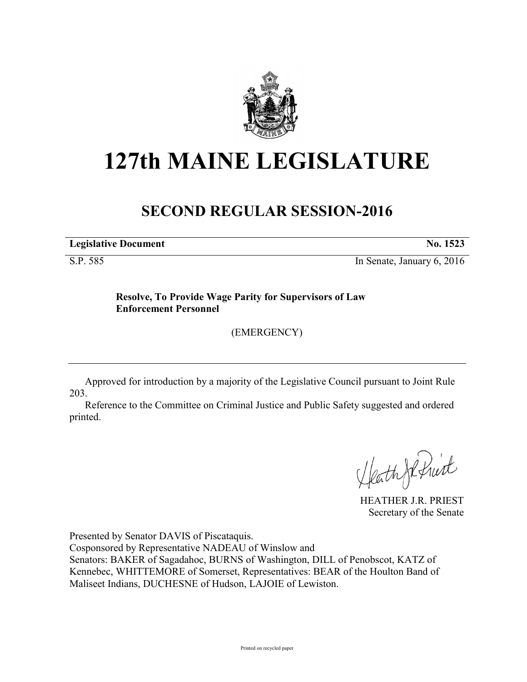

# **127th MAINE LEGISLATURE**

## **SECOND REGULAR SESSION-2016**

**Legislative Document No. 1523**

S.P. 585 In Senate, January 6, 2016

**Resolve, To Provide Wage Parity for Supervisors of Law Enforcement Personnel**

(EMERGENCY)

Approved for introduction by a majority of the Legislative Council pursuant to Joint Rule 203.

Reference to the Committee on Criminal Justice and Public Safety suggested and ordered printed.

Heath Je fruit

HEATHER J.R. PRIEST Secretary of the Senate

Presented by Senator DAVIS of Piscataquis. Cosponsored by Representative NADEAU of Winslow and Senators: BAKER of Sagadahoc, BURNS of Washington, DILL of Penobscot, KATZ of Kennebec, WHITTEMORE of Somerset, Representatives: BEAR of the Houlton Band of Maliseet Indians, DUCHESNE of Hudson, LAJOIE of Lewiston.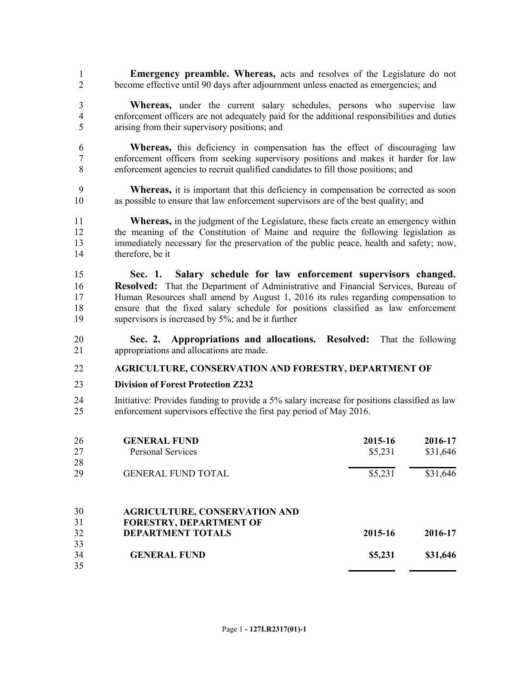- **Emergency preamble. Whereas,** acts and resolves of the Legislature do not become effective until 90 days after adjournment unless enacted as emergencies; and
- **Whereas,** under the current salary schedules, persons who supervise law enforcement officers are not adequately paid for the additional responsibilities and duties arising from their supervisory positions; and
- **Whereas,** this deficiency in compensation has the effect of discouraging law enforcement officers from seeking supervisory positions and makes it harder for law enforcement agencies to recruit qualified candidates to fill those positions; and
- **Whereas,** it is important that this deficiency in compensation be corrected as soon as possible to ensure that law enforcement supervisors are of the best quality; and
- **Whereas,** in the judgment of the Legislature, these facts create an emergency within the meaning of the Constitution of Maine and require the following legislation as immediately necessary for the preservation of the public peace, health and safety; now, therefore, be it
- **Sec. 1. Salary schedule for law enforcement supervisors changed. Resolved:** That the Department of Administrative and Financial Services, Bureau of Human Resources shall amend by August 1, 2016 its rules regarding compensation to ensure that the fixed salary schedule for positions classified as law enforcement supervisors is increased by 5%; and be it further
- **Sec. 2. Appropriations and allocations. Resolved:** That the following appropriations and allocations are made.
- **AGRICULTURE, CONSERVATION AND FORESTRY, DEPARTMENT OF**
- **Division of Forest Protection Z232**
- Initiative: Provides funding to provide a 5% salary increase for positions classified as law enforcement supervisors effective the first pay period of May 2016.

| 26             | <b>GENERAL FUND</b>                                                                                | 2015-16 | 2016-17  |
|----------------|----------------------------------------------------------------------------------------------------|---------|----------|
| 27             | <b>Personal Services</b>                                                                           | \$5,231 | \$31,646 |
| 28             |                                                                                                    |         |          |
| 29             | <b>GENERAL FUND TOTAL</b>                                                                          | \$5,231 | \$31,646 |
| 30<br>31<br>32 | <b>AGRICULTURE, CONSERVATION AND</b><br><b>FORESTRY, DEPARTMENT OF</b><br><b>DEPARTMENT TOTALS</b> | 2015-16 | 2016-17  |
| 33             |                                                                                                    |         |          |
| 34             | <b>GENERAL FUND</b>                                                                                | \$5,231 | \$31,646 |
| 35             |                                                                                                    |         |          |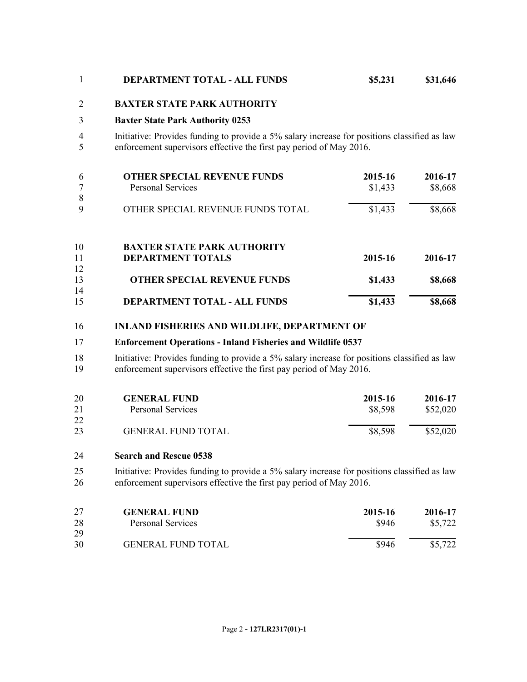#### **DEPARTMENT TOTAL - ALL FUNDS \$5,231 \$31,646**

### **BAXTER STATE PARK AUTHORITY**

### **Baxter State Park Authority 0253**

 Initiative: Provides funding to provide a 5% salary increase for positions classified as law enforcement supervisors effective the first pay period of May 2016.

| 6  | <b>OTHER SPECIAL REVENUE FUNDS</b> | 2015-16 | 2016-17 |
|----|------------------------------------|---------|---------|
|    | <b>Personal Services</b>           | \$1,433 | \$8,668 |
| 8  |                                    |         |         |
|    | OTHER SPECIAL REVENUE FUNDS TOTAL  | \$1,433 | \$8,668 |
|    |                                    |         |         |
| 10 | <b>BAXTER STATE PARK AUTHORITY</b> |         |         |
| 11 | <b>DEPARTMENT TOTALS</b>           | 2015-16 | 2016-17 |
| 12 |                                    |         |         |
| 13 | <b>OTHER SPECIAL REVENUE FUNDS</b> | \$1,433 | \$8,668 |
| 14 |                                    |         |         |

#### **DEPARTMENT TOTAL - ALL FUNDS \$1,433 \$8,668**

### **INLAND FISHERIES AND WILDLIFE, DEPARTMENT OF**

### **Enforcement Operations - Inland Fisheries and Wildlife 0537**

 Initiative: Provides funding to provide a 5% salary increase for positions classified as law enforcement supervisors effective the first pay period of May 2016.

#### **GENERAL FUND 2015-16 2016-17** Personal Services  $$8,598$   $$52,020$ GENERAL FUND TOTAL  $\overline{\text{$8,598$}}$   $\overline{\text{$52,020$}}$

### **Search and Rescue 0538**

 Initiative: Provides funding to provide a 5% salary increase for positions classified as law enforcement supervisors effective the first pay period of May 2016.

#### **GENERAL FUND 2015-16 2016-17**

| $\angle$ / | GENERAL FUND              | <b>2015-10</b> | ZVIO-17 |
|------------|---------------------------|----------------|---------|
| 28         | <b>Personal Services</b>  | \$946          | \$5,722 |
| 29         |                           |                |         |
| 30         | <b>GENERAL FUND TOTAL</b> | \$946          | \$5,722 |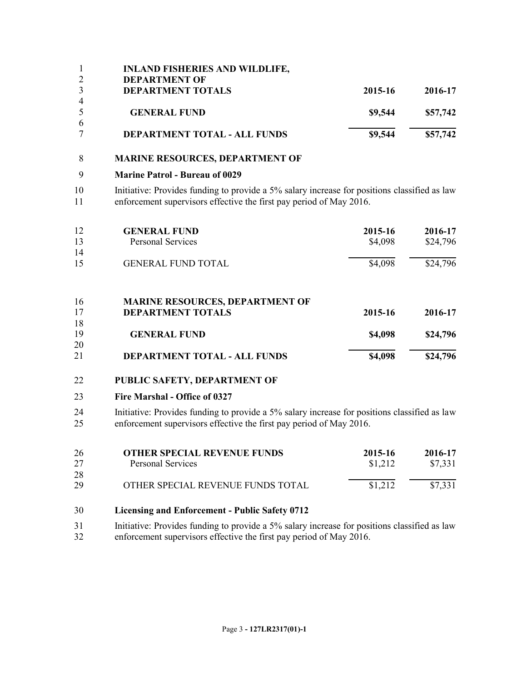|   | <b>INLAND FISHERIES AND WILDLIFE,</b> |         |          |
|---|---------------------------------------|---------|----------|
|   | <b>DEPARTMENT OF</b>                  |         |          |
|   | <b>DEPARTMENT TOTALS</b>              | 2015-16 | 2016-17  |
| 4 |                                       |         |          |
| 5 | <b>GENERAL FUND</b>                   | \$9,544 | \$57,742 |
| 6 |                                       |         |          |
|   | <b>DEPARTMENT TOTAL - ALL FUNDS</b>   | \$9,544 | \$57,742 |

### **MARINE RESOURCES, DEPARTMENT OF**

### **Marine Patrol - Bureau of 0029**

 Initiative: Provides funding to provide a 5% salary increase for positions classified as law 11 enforcement supervisors effective the first pay period of May 2016.

| 12 | <b>GENERAL FUND</b>                    | 2015-16 | 2016-17  |
|----|----------------------------------------|---------|----------|
| 13 | Personal Services                      | \$4,098 | \$24,796 |
| 14 |                                        |         |          |
| 15 | <b>GENERAL FUND TOTAL</b>              | \$4,098 | \$24,796 |
| 16 | <b>MARINE RESOURCES, DEPARTMENT OF</b> |         |          |
| 17 | <b>DEPARTMENT TOTALS</b>               | 2015-16 | 2016-17  |
| 18 |                                        |         |          |
| 19 | <b>GENERAL FUND</b>                    | \$4,098 | \$24,796 |
| 20 |                                        |         |          |
| 21 | DEPARTMENT TOTAL - ALL FUNDS           | \$4,098 | \$24,796 |

### **PUBLIC SAFETY, DEPARTMENT OF**

### **Fire Marshal - Office of 0327**

 Initiative: Provides funding to provide a 5% salary increase for positions classified as law enforcement supervisors effective the first pay period of May 2016.

| 26 | <b>OTHER SPECIAL REVENUE FUNDS</b> | 2015-16 | 2016-17 |
|----|------------------------------------|---------|---------|
| 27 | Personal Services                  | \$1.212 | \$7,331 |
| 28 |                                    |         |         |
| 29 | OTHER SPECIAL REVENUE FUNDS TOTAL  | \$1,212 | \$7,331 |

- **Licensing and Enforcement - Public Safety 0712**
- Initiative: Provides funding to provide a 5% salary increase for positions classified as law enforcement supervisors effective the first pay period of May 2016.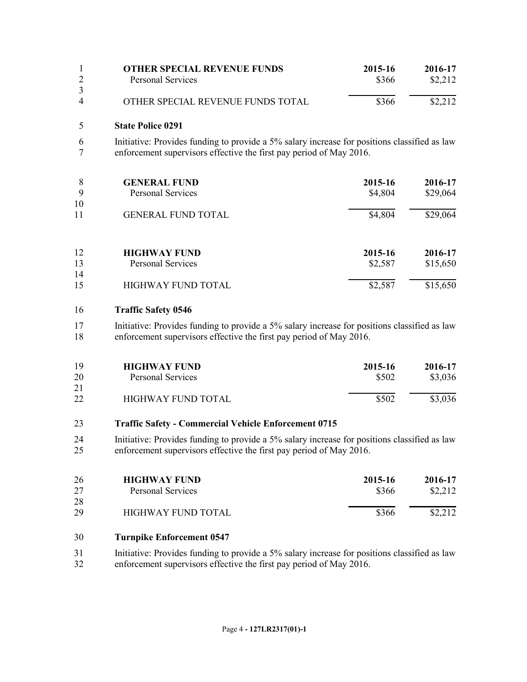|   | <b>OTHER SPECIAL REVENUE FUNDS</b> | 2015-16 | 2016-17 |
|---|------------------------------------|---------|---------|
|   | Personal Services                  | \$366   | \$2.212 |
| 4 | OTHER SPECIAL REVENUE FUNDS TOTAL  | \$366   | \$2,212 |

### **State Police 0291**

 Initiative: Provides funding to provide a 5% salary increase for positions classified as law enforcement supervisors effective the first pay period of May 2016.

| 8<br>9 | <b>GENERAL FUND</b><br><b>Personal Services</b> | 2015-16<br>\$4,804 | 2016-17<br>\$29,064 |
|--------|-------------------------------------------------|--------------------|---------------------|
| 10     |                                                 |                    |                     |
| 11     | <b>GENERAL FUND TOTAL</b>                       | \$4,804            | \$29,064            |
| 12     | <b>HIGHWAY FUND</b>                             | 2015-16            | 2016-17             |
| 13     | <b>Personal Services</b>                        | \$2,587            | \$15,650            |
| 14     |                                                 |                    |                     |
| 15     | HIGHWAY FUND TOTAL                              | \$2,587            | \$15,650            |

### **Traffic Safety 0546**

17 Initiative: Provides funding to provide a 5% salary increase for positions classified as law<br>18 enforcement supervisors effective the first pay period of May 2016. enforcement supervisors effective the first pay period of May 2016.

| 19       | <b>HIGHWAY FUND</b> | 2015-16 | 2016-17 |
|----------|---------------------|---------|---------|
| 20<br>21 | Personal Services   | \$502   | \$3,036 |
| 22       | HIGHWAY FUND TOTAL  | \$502   | \$3,036 |

### **Traffic Safety - Commercial Vehicle Enforcement 0715**

 Initiative: Provides funding to provide a 5% salary increase for positions classified as law enforcement supervisors effective the first pay period of May 2016.

| 26 | <b>HIGHWAY FUND</b> | 2015-16 | 2016-17 |
|----|---------------------|---------|---------|
| 27 | Personal Services   | \$366   | \$2,212 |
| 28 |                     |         |         |
| 29 | HIGHWAY FUND TOTAL  | \$366   | \$2,212 |
|    |                     |         |         |

### **Turnpike Enforcement 0547**

 Initiative: Provides funding to provide a 5% salary increase for positions classified as law enforcement supervisors effective the first pay period of May 2016.